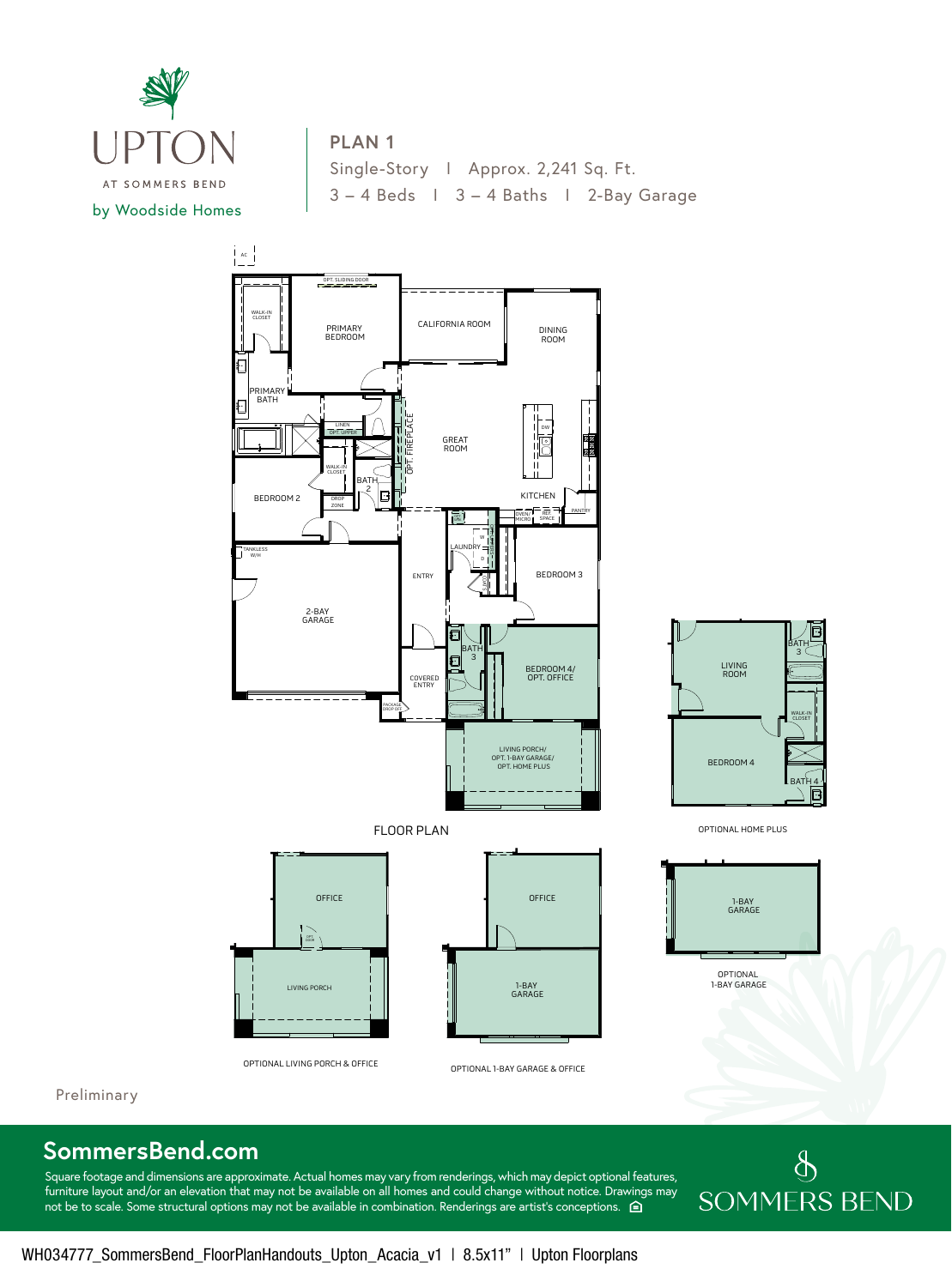

## **PLAN 1**

Single-Story | Approx. 2,241 Sq. Ft. 3 – 4 Beds I 3 – 4 Baths I 2-Bay Garage



Preliminary

## **SommersBend.com**

Square footage and dimensions are approximate. Actual homes may vary from renderings, which may depict optional features, furniture layout and/or an elevation that may not be available on all homes and could change without notice. Drawings may not be to scale. Some structural options may not be available in combination. Renderings are artist's conceptions.  $\hat{p}$ 

## $\oint$ **SOMMERS BEND**

BATH 3

LIVING ROOM

1-BAY GARAGE

WALK-IN CLOSET

BATH<u>4</u>

b